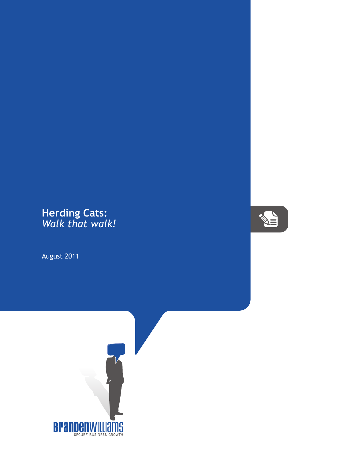## **Herding Cats:** *Walk that walk!*

August 2011



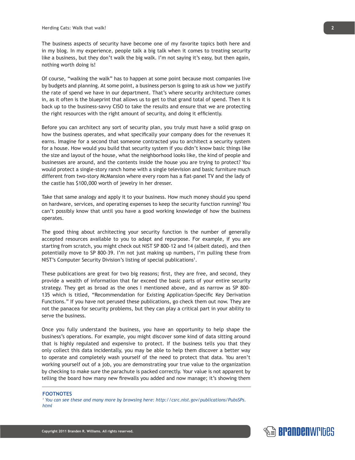The business aspects of security have become one of my favorite topics both here and in my blog. In my experience, people talk a big talk when it comes to treating security like a business, but they don't walk the big walk. I'm not saying it's easy, but then again, nothing worth doing is!

Of course, "walking the walk" has to happen at some point because most companies live by budgets and planning. At some point, a business person is going to ask us how we justify the rate of spend we have in our department. That's where security architecture comes in, as it often is the blueprint that allows us to get to that grand total of spend. Then it is back up to the business-savvy CISO to take the results and ensure that we are protecting the right resources with the right amount of security, and doing it efficiently.

Before you can architect any sort of security plan, you truly must have a solid grasp on how the business operates, and what specifically your company does for the revenues it earns. Imagine for a second that someone contracted you to architect a security system for a house. How would you build that security system if you didn't know basic things like the size and layout of the house, what the neighborhood looks like, the kind of people and businesses are around, and the contents inside the house you are trying to protect? You would protect a single-story ranch home with a single television and basic furniture much different from two-story McMansion where every room has a flat-panel TV and the lady of the castle has \$100,000 worth of jewelry in her dresser.

Take that same analogy and apply it to your business. How much money should you spend on hardware, services, and operating expenses to keep the security function running? You can't possibly know that until you have a good working knowledge of how the business operates.

The good thing about architecting your security function is the number of generally accepted resources available to you to adapt and repurpose. For example, if you are starting from scratch, you might check out NIST SP 800-12 and 14 (albeit dated), and then potentially move to SP 800-39. I'm not just making up numbers, I'm pulling these from NIST's Computer Security Division's listing of special publications<sup>1</sup>.

These publications are great for two big reasons; first, they are free, and second, they provide a wealth of information that far exceed the basic parts of your entire security strategy. They get as broad as the ones I mentioned above, and as narrow as SP 800- 135 which is titled, "Recommendation for Existing Application-Specific Key Derivation Functions." If you have not perused these publications, go check them out now. They are not the panacea for security problems, but they can play a critical part in your ability to serve the business.

Once you fully understand the business, you have an opportunity to help shape the business's operations. For example, you might discover some kind of data sitting around that is highly regulated and expensive to protect. If the business tells you that they only collect this data incidentally, you may be able to help them discover a better way to operate and completely wash yourself of the need to protect that data. You aren't working yourself out of a job, you are demonstrating your true value to the organization by checking to make sure the parachute is packed correctly. Your value is not apparent by telling the board how many new firewalls you added and now manage; it's showing them

## **FOOTNOTES**

*1 You can see these and many more by browsing here: http://csrc.nist.gov/publications/PubsSPs. html*

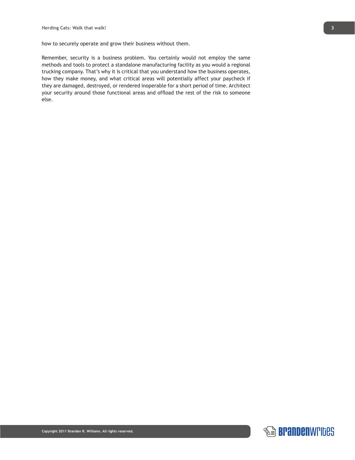how to securely operate and grow their business without them.

Remember, security is a business problem. You certainly would not employ the same methods and tools to protect a standalone manufacturing facility as you would a regional trucking company. That's why it is critical that you understand how the business operates, how they make money, and what critical areas will potentially affect your paycheck if they are damaged, destroyed, or rendered inoperable for a short period of time. Architect your security around those functional areas and offload the rest of the risk to someone else.